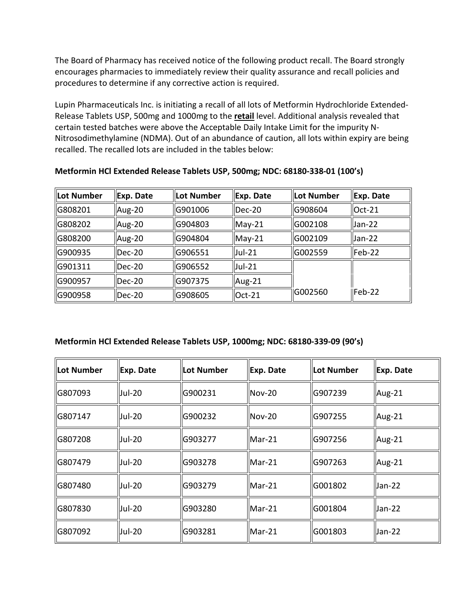The Board of Pharmacy has received notice of the following product recall. The Board strongly encourages pharmacies to immediately review their quality assurance and recall policies and procedures to determine if any corrective action is required.

 Nitrosodimethylamine (NDMA). Out of an abundance of caution, all lots within expiry are being Lupin Pharmaceuticals Inc. is initiating a recall of all lots of Metformin Hydrochloride Extended-Release Tablets USP, 500mg and 1000mg to the **retail** level. Additional analysis revealed that certain tested batches were above the Acceptable Daily Intake Limit for the impurity Nrecalled. The recalled lots are included in the tables below:

| Lot Number | Exp. Date | Lot Number | Exp. Date     | Lot Number | Exp. Date  |
|------------|-----------|------------|---------------|------------|------------|
| G808201    | Aug-20    | G901006    | $Dec-20$      | G908604    | $Oct-21$   |
| G808202    | Aug-20    | G904803    | $May-21$      | G002108    | Uan-22     |
| G808200    | Aug-20    | G904804    | $May-21$      | G002109    | Uan-22     |
| G900935    | Dec-20    | G906551    | Jul-21        | G002559    | Feb-22     |
| G901311    | Dec-20    | G906552    | <b>Jul-21</b> |            |            |
| G900957    | $Dec-20$  | G907375    | Aug-21        |            |            |
| G900958    | $Dec-20$  | G908605    | Oct-21        | G002560    | $I$ Feb-22 |

**Metformin HCl Extended Release Tablets USP, 500mg; NDC: 68180-338-01 (100's)** 

## **Metformin HCl Extended Release Tablets USP, 1000mg; NDC: 68180-339-09 (90's)**

| Lot Number | Exp. Date     | Lot Number | Exp. Date      | <b>Lot Number</b> | Exp. Date |
|------------|---------------|------------|----------------|-------------------|-----------|
| G807093    | <b>Jul-20</b> | G900231    | $Nov-20$       | G907239           | Aug-21    |
| G807147    | <b>Jul-20</b> | G900232    | $Nov-20$       | G907255           | Aug-21    |
| G807208    | <b>Jul-20</b> | G903277    | $Mar-21$       | G907256           | Aug-21    |
| G807479    | lJul-20       | G903278    | Mar-21         | G907263           | Aug-21    |
| G807480    | Uul-20        | G903279    | <b>IMar-21</b> | G001802           | Jan-22    |
| G807830    | Uul-20        | G903280    | $Mar-21$       | G001804           | Jan-22    |
| G807092    | Uul-20        | G903281    | $IMar-21$      | G001803           | Jan-22    |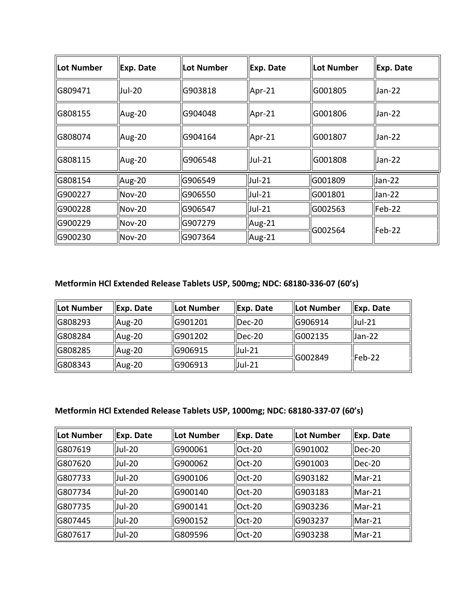| <b>Lot Number</b> | Exp. Date                | Lot Number | Exp. Date     | <b>Lot Number</b> | Exp. Date         |
|-------------------|--------------------------|------------|---------------|-------------------|-------------------|
| G809471           | Jul-20                   | G903818    | Apr-21        | G001805           | Jan-22            |
| G808155           | Aug-20                   | G904048    | Apr-21        | G001806           | Jan-22            |
| G808074           | Aug-20                   | G904164    | Apr-21        | G001807           | Jan-22            |
| G808115           | Aug-20                   | G906548    | <b>Jul-21</b> | G001808           | Jan-22            |
| G808154           | $\mu$ Aug-20             | lG906549   | Jul-21        | G001809           | Uan-22            |
| G900227           | $Nov-20$                 | G906550    | $ $ Jul-21    | G001801           | Uan-22            |
| G900228           | $\mathsf{Nov}\text{-}20$ | G906547    | Uul-21        | G002563           | $\textsf{Feb-22}$ |
| G900229           | $Nov-20$                 | G907279    | Aug-21        | G002564           | Feb-22            |
| G900230           | $Nov-20$                 | G907364    | Aug-21        |                   |                   |

## **Metformin HCl Extended Release Tablets USP, 500mg; NDC: 68180-336-07 (60's)**

| Lot Number | Exp. Date    | llot Number | Exp. Date  | <b>ILot Number</b> | Exp. Date  |
|------------|--------------|-------------|------------|--------------------|------------|
| G808293    | $\mu$ Aug-20 | G901201     | $ $ Dec-20 | IG906914           | $ $ Jul-21 |
| G808284    | Aug-20       | G901202     | $I$ Dec-20 | <b>IG002135</b>    | $ Jan-22 $ |
| G808285    | Aug-20       | G906915     | $ $ Jul-21 | $\sqrt{6002849}$   | $l$ Feb-22 |
| G808343    | Aug-20       | G906913     | $ $ Jul-21 |                    |            |

## **Metformin HCl Extended Release Tablets USP, 1000mg; NDC: 68180-337-07 (60's)**

| Lot Number | Exp. Date     | Lot Number | Exp. Date     | llLot Number | Exp. Date |
|------------|---------------|------------|---------------|--------------|-----------|
| G807619    | Jul-20        | G900061    | $Oct-20$      | IG901002     | lDec-20   |
| G807620    | <b>Jul-20</b> | G900062    | $Oct-20$      | G901003      | Dec-20    |
| G807733    | Jul-20        | G900106    | <b>Oct-20</b> | G903182      | $IMar-21$ |
| G807734    | Jul-20        | G900140    | $Oct-20$      | G903183      | $Mar-21$  |
| G807735    | <b>Jul-20</b> | G900141    | $Oct-20$      | G903236      | $Mar-21$  |
| G807445    | Jul-20        | G900152    | Oct-20        | G903237      | $Mar-21$  |
| G807617    | Jul-20        | G809596    | $Oct-20$      | G903238      | $Mar-21$  |